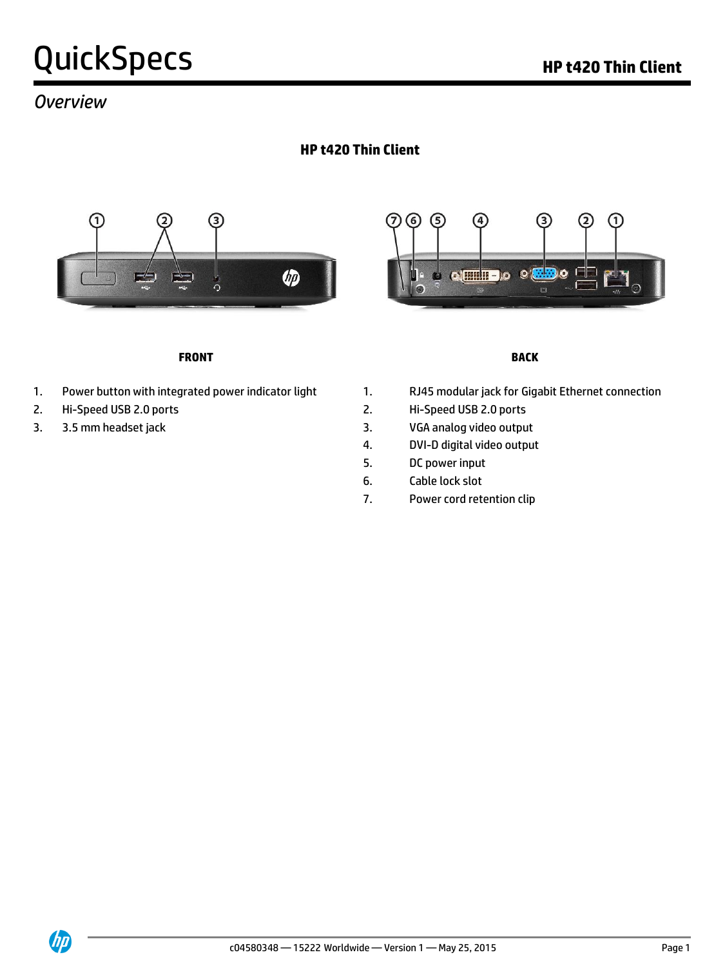## *Overview*

## **HP t420 Thin Client**





#### **FRONT BACK**

- 
- 
- 

- 1. Power button with integrated power indicator light 1. RJ45 modular jack for Gigabit Ethernet connection
- 2. Hi-Speed USB 2.0 ports 2. Hi-Speed USB 2.0 ports
- 3. 3.5 mm headset jack 3. behavior of the 3. Separate 3. Separate 3. Separate 3. Separate 3. Separate 3. Separate 3. Separate 3. Separate 3. Separate 3. Separate 3. Separate 3. Separate 3. Separate 3. Separate 3. Separate
	- 4. DVI-D digital video output
	- 5. DC power input
	- 6. Cable lock slot
	- 7. Power cord retention clip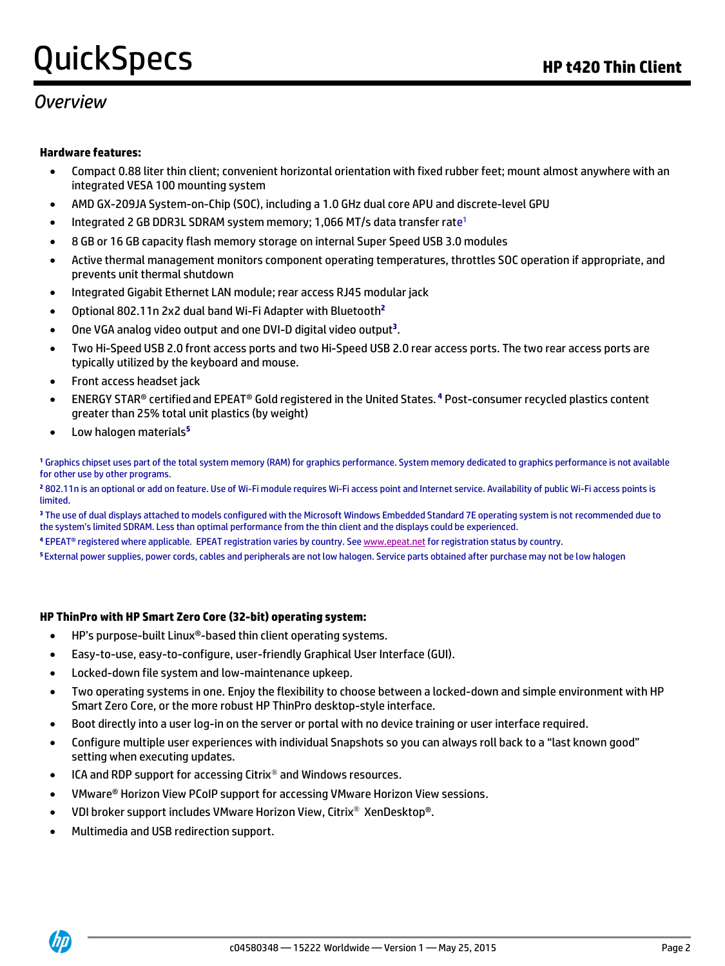## *Overview*

#### **Hardware features:**

- Compact 0.88 liter thin client; convenient horizontal orientation with fixed rubber feet; mount almost anywhere with an integrated VESA 100 mounting system
- AMD GX-209JA System-on-Chip (SOC), including a 1.0 GHz dual core APU and discrete-level GPU
- Integrated 2 GB DDR3L SDRAM system memory; 1,066 MT/s data transfer rate<sup>1</sup>
- 8 GB or 16 GB capacity flash memory storage on internal Super Speed USB 3.0 modules
- Active thermal management monitors component operating temperatures, throttles SOC operation if appropriate, and prevents unit thermal shutdown
- Integrated Gigabit Ethernet LAN module; rear access RJ45 modular jack
- Optional 802.11n 2x2 dual band Wi-Fi Adapter with Bluetooth **2**
- One VGA analog video output and one DVI-D digital video output**<sup>3</sup>** .
- Two Hi-Speed USB 2.0 front access ports and two Hi-Speed USB 2.0 rear access ports. The two rear access ports are typically utilized by the keyboard and mouse.
- **•** Front access headset jack
- ENERGY STAR® certified and EPEAT® Gold registered in the United States. **<sup>4</sup>** Post-consumer recycled plastics content greater than 25% total unit plastics (by weight)
- Low halogen materials**<sup>5</sup>**

**<sup>1</sup>** Graphics chipset uses part of the total system memory (RAM) for graphics performance. System memory dedicated to graphics performance is not available for other use by other programs.

**<sup>2</sup>** 802.11n is an optional or add on feature. Use of Wi-Fi module requires Wi-Fi access point and Internet service. Availability of public Wi-Fi access points is limited.

**<sup>3</sup>** The use of dual displays attached to models configured with the Microsoft Windows Embedded Standard 7E operating system is not recommended due to the system's limited SDRAM. Less than optimal performance from the thin client and the displays could be experienced.

**<sup>4</sup>** EPEAT® registered where applicable. EPEAT registration varies by country. Se[e www.epeat.net](http://www.epeat.net/) for registration status by country.

**<sup>5</sup>**External power supplies, power cords, cables and peripherals are not low halogen. Service parts obtained after purchase may not be low halogen

#### **HP ThinPro with HP Smart Zero Core (32-bit) operating system:**

- HP's purpose-built Linux®-based thin client operating systems.
- Easy-to-use, easy-to-configure, user-friendly Graphical User Interface (GUI).
- Locked-down file system and low-maintenance upkeep.
- Two operating systems in one. Enjoy the flexibility to choose between a locked-down and simple environment with HP Smart Zero Core, or the more robust HP ThinPro desktop-style interface.
- Boot directly into a user log-in on the server or portal with no device training or user interface required.
- Configure multiple user experiences with individual Snapshots so you can always roll back to a "last known good" setting when executing updates.
- ICA and RDP support for accessing Citrix® and Windows resources.
- VMware® Horizon View PCoIP support for accessing VMware Horizon View sessions.
- VDI broker support includes VMware Horizon View, Citrix<sup>®</sup> XenDesktop®.
- Multimedia and USB redirection support.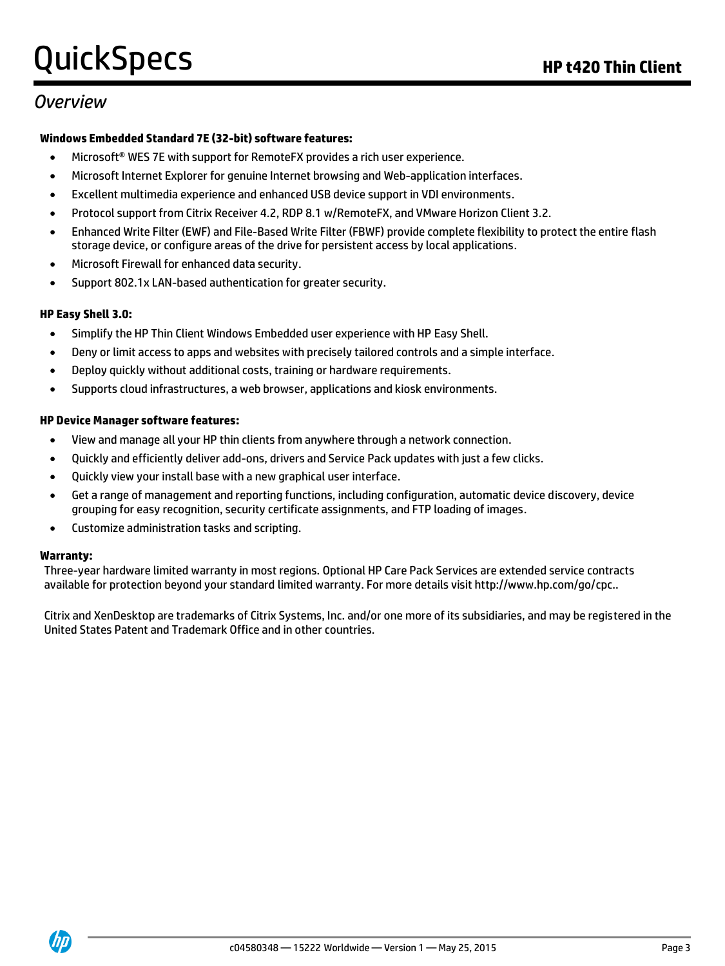## *Overview*

#### **Windows Embedded Standard 7E (32-bit) software features:**

- Microsoft® WES 7E with support for RemoteFX provides a rich user experience.
- Microsoft Internet Explorer for genuine Internet browsing and Web-application interfaces.
- Excellent multimedia experience and enhanced USB device support in VDI environments.
- Protocol support from Citrix Receiver 4.2, RDP 8.1 w/RemoteFX, and VMware Horizon Client 3.2.
- Enhanced Write Filter (EWF) and File-Based Write Filter (FBWF) provide complete flexibility to protect the entire flash storage device, or configure areas of the drive for persistent access by local applications.
- Microsoft Firewall for enhanced data security.
- Support 802.1x LAN-based authentication for greater security.

#### **HP Easy Shell 3.0:**

- Simplify the HP Thin Client Windows Embedded user experience with HP Easy Shell.
- Deny or limit access to apps and websites with precisely tailored controls and a simple interface.
- Deploy quickly without additional costs, training or hardware requirements.
- Supports cloud infrastructures, a web browser, applications and kiosk environments.

#### **HP Device Manager software features:**

- View and manage all your HP thin clients from anywhere through a network connection.
- Quickly and efficiently deliver add-ons, drivers and Service Pack updates with just a few clicks.
- Quickly view your install base with a new graphical user interface.
- Get a range of management and reporting functions, including configuration, automatic device discovery, device grouping for easy recognition, security certificate assignments, and FTP loading of images.
- Customize administration tasks and scripting.

#### **Warranty:**

Three-year hardware limited warranty in most regions. Optional HP Care Pack Services are extended service contracts available for protection beyond your standard limited warranty. For more details visit http://www.hp.com/go/cpc..

Citrix and XenDesktop are trademarks of Citrix Systems, Inc. and/or one more of its subsidiaries, and may be registered in the United States Patent and Trademark Office and in other countries.

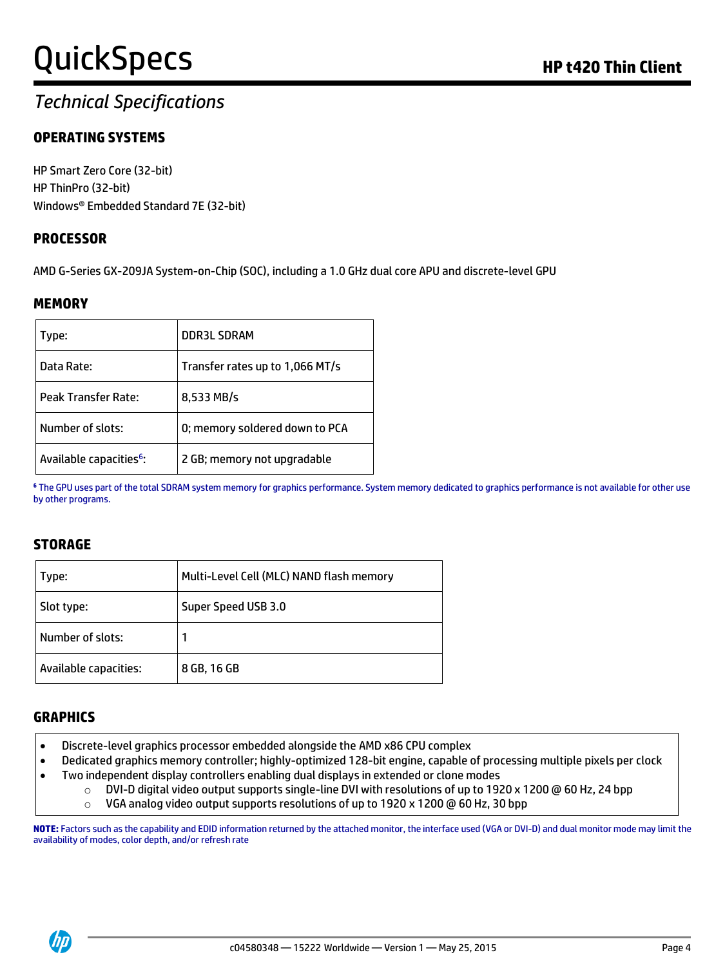## *Technical Specifications*

## **OPERATING SYSTEMS**

HP Smart Zero Core (32-bit) HP ThinPro (32-bit) Windows® Embedded Standard 7E (32-bit)

### **PROCESSOR**

AMD G-Series GX-209JA System-on-Chip (SOC), including a 1.0 GHz dual core APU and discrete-level GPU

#### **MEMORY**

| Type:                               | <b>DDR3L SDRAM</b>              |
|-------------------------------------|---------------------------------|
| Data Rate:                          | Transfer rates up to 1,066 MT/s |
| Peak Transfer Rate:                 | 8,533 MB/s                      |
| Number of slots:                    | 0; memory soldered down to PCA  |
| Available capacities <sup>6</sup> : | 2 GB; memory not upgradable     |

**<sup>6</sup>** The GPU uses part of the total SDRAM system memory for graphics performance. System memory dedicated to graphics performance is not available for other use by other programs.

### **STORAGE**

| Type:                 | Multi-Level Cell (MLC) NAND flash memory |  |
|-----------------------|------------------------------------------|--|
| Slot type:            | Super Speed USB 3.0                      |  |
| Number of slots:      |                                          |  |
| Available capacities: | 8 GB, 16 GB                              |  |

#### **GRAPHICS**

- Discrete-level graphics processor embedded alongside the AMD x86 CPU complex
- Dedicated graphics memory controller; highly-optimized 128-bit engine, capable of processing multiple pixels per clock
- Two independent display controllers enabling dual displays in extended or clone modes
	- o DVI-D digital video output supports single-line DVI with resolutions of up to 1920 x 1200 @ 60 Hz, 24 bpp
	- o VGA analog video output supports resolutions of up to 1920 x 1200 @ 60 Hz, 30 bpp

**NOTE:** Factors such as the capability and EDID information returned by the attached monitor, the interface used (VGA or DVI-D) and dual monitor mode may limit the availability of modes, color depth, and/or refresh rate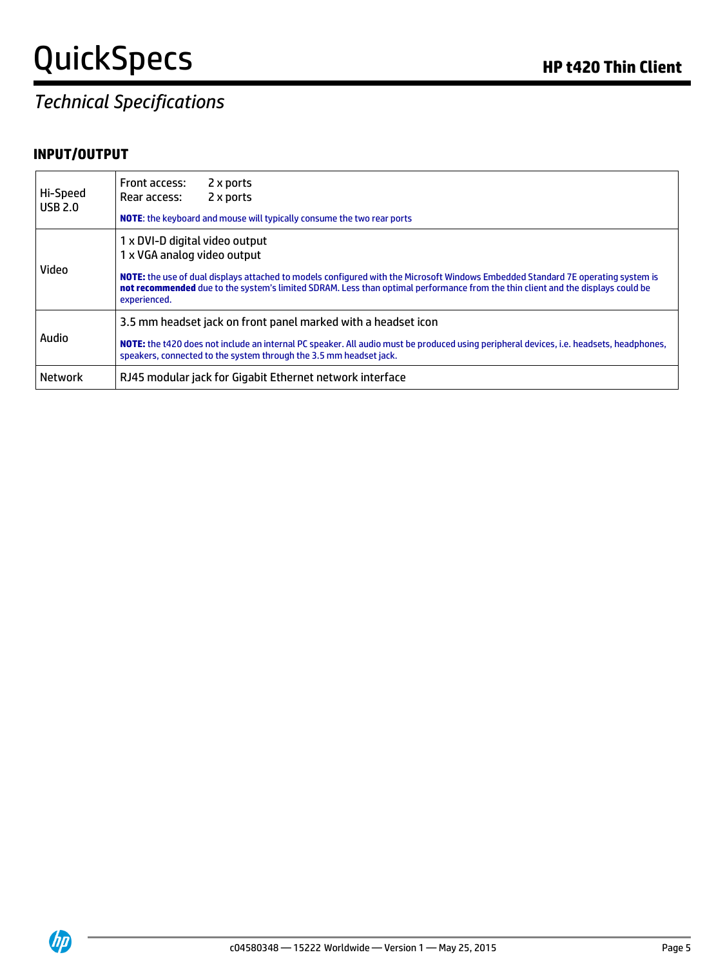## *Technical Specifications*

## **INPUT/OUTPUT**

| Hi-Speed<br><b>USB 2.0</b> | Front access:<br>2 x ports<br>2 x ports<br>Rear access:                                                                                                                                                                                                                                                                                              |
|----------------------------|------------------------------------------------------------------------------------------------------------------------------------------------------------------------------------------------------------------------------------------------------------------------------------------------------------------------------------------------------|
|                            | NOTE: the keyboard and mouse will typically consume the two rear ports                                                                                                                                                                                                                                                                               |
| Video                      | 1 x DVI-D digital video output<br>1 x VGA analog video output<br>NOTE: the use of dual displays attached to models configured with the Microsoft Windows Embedded Standard 7E operating system is<br>not recommended due to the system's limited SDRAM. Less than optimal performance from the thin client and the displays could be<br>experienced. |
| Audio                      | 3.5 mm headset jack on front panel marked with a headset icon<br><b>NOTE:</b> the t420 does not include an internal PC speaker. All audio must be produced using peripheral devices, i.e. headsets, headphones,<br>speakers, connected to the system through the 3.5 mm headset jack.                                                                |
| <b>Network</b>             | RJ45 modular jack for Gigabit Ethernet network interface                                                                                                                                                                                                                                                                                             |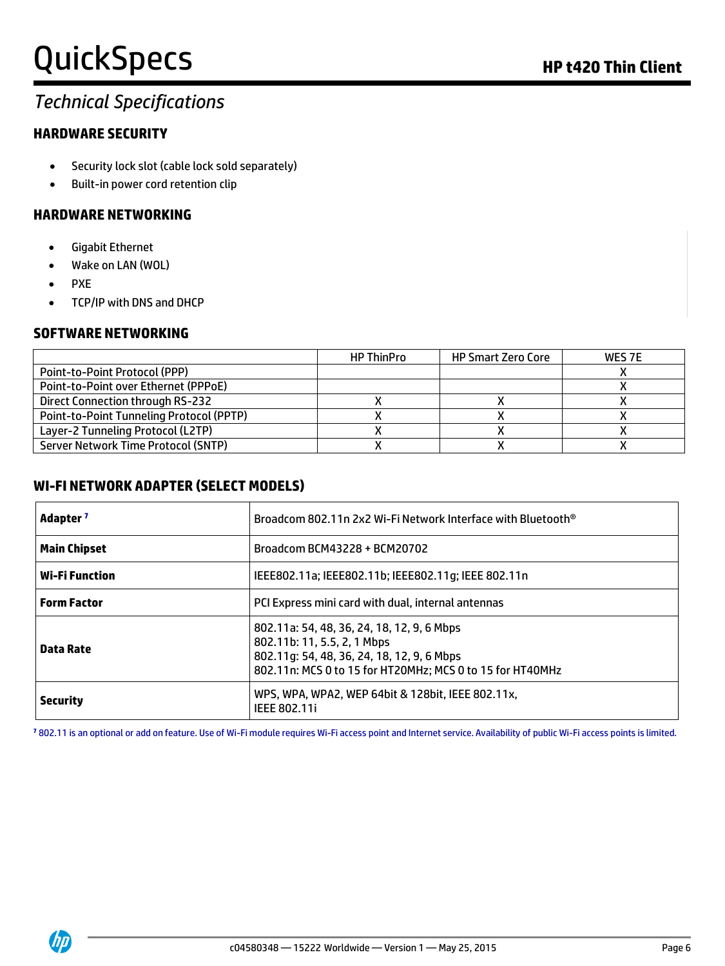## *Technical Specifications*

## **HARDWARE SECURITY**

- Security lock slot (cable lock sold separately)
- Built-in power cord retention clip

### **HARDWARE NETWORKING**

- Gigabit Ethernet
- Wake on LAN (WOL)
- PXE
- TCP/IP with DNS and DHCP

### **SOFTWARE NETWORKING**

|                                                 | <b>HP ThinPro</b> | <b>HP Smart Zero Core</b> | WES 7E |
|-------------------------------------------------|-------------------|---------------------------|--------|
| <b>Point-to-Point Protocol (PPP)</b>            |                   |                           |        |
| Point-to-Point over Ethernet (PPPoE)            |                   |                           |        |
| Direct Connection through RS-232                |                   |                           |        |
| <b>Point-to-Point Tunneling Protocol (PPTP)</b> |                   |                           |        |
| Layer-2 Tunneling Protocol (L2TP)               |                   |                           |        |
| Server Network Time Protocol (SNTP)             |                   |                           |        |

### **WI-FI NETWORK ADAPTER (SELECT MODELS)**

| Adapter <sup>7</sup>  | Broadcom 802.11n 2x2 Wi-Fi Network Interface with Bluetooth <sup>®</sup>                                                                                                             |  |  |
|-----------------------|--------------------------------------------------------------------------------------------------------------------------------------------------------------------------------------|--|--|
| <b>Main Chipset</b>   | Broadcom BCM43228 + BCM20702                                                                                                                                                         |  |  |
| <b>Wi-Fi Function</b> | IEEE802.11a; IEEE802.11b; IEEE802.11g; IEEE 802.11n                                                                                                                                  |  |  |
| <b>Form Factor</b>    | PCI Express mini card with dual, internal antennas                                                                                                                                   |  |  |
| Data Rate             | 802.11a: 54, 48, 36, 24, 18, 12, 9, 6 Mbps<br>802.11b: 11, 5.5, 2, 1 Mbps<br>802.11q: 54, 48, 36, 24, 18, 12, 9, 6 Mbps<br>802.11n: MCS 0 to 15 for HT20MHz; MCS 0 to 15 for HT40MHz |  |  |
| <b>Security</b>       | WPS, WPA, WPA2, WEP 64bit & 128bit, IEEE 802.11x,<br><b>IEEE 802.11i</b>                                                                                                             |  |  |

**<sup>7</sup>** 802.11 is an optional or add on feature. Use of Wi-Fi module requires Wi-Fi access point and Internet service. Availability of public Wi-Fi access points is limited.

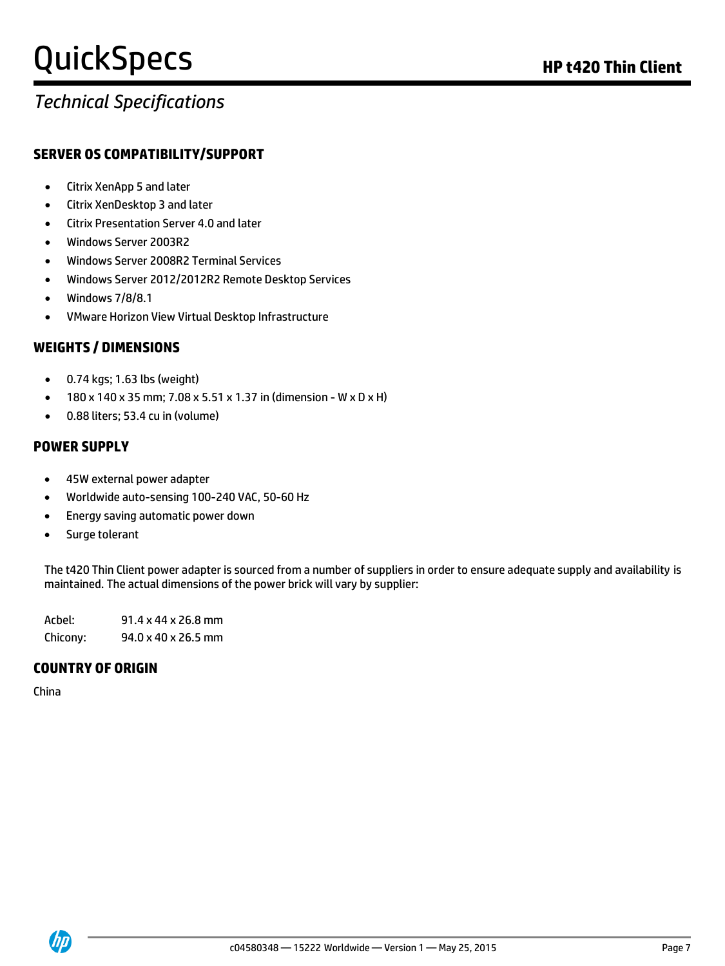## *Technical Specifications*

### **SERVER OS COMPATIBILITY/SUPPORT**

- Citrix XenApp 5 and later
- Citrix XenDesktop 3 and later
- Citrix Presentation Server 4.0 and later
- Windows Server 2003R2
- Windows Server 2008R2 Terminal Services
- Windows Server 2012/2012R2 Remote Desktop Services
- Windows 7/8/8.1
- VMware Horizon View Virtual Desktop Infrastructure

### **WEIGHTS / DIMENSIONS**

- 0.74 kgs; 1.63 lbs (weight)
- 180 x 140 x 35 mm; 7.08 x 5.51 x 1.37 in (dimension W x D x H)
- 0.88 liters; 53.4 cu in (volume)

### **POWER SUPPLY**

- 45W external power adapter
- Worldwide auto-sensing 100-240 VAC, 50-60 Hz
- Energy saving automatic power down
- Surge tolerant

The t420 Thin Client power adapter is sourced from a number of suppliers in order to ensure adequate supply and availability is maintained. The actual dimensions of the power brick will vary by supplier:

Acbel: 91.4 x 44 x 26.8 mm Chicony: 94.0 x 40 x 26.5 mm

### **COUNTRY OF ORIGIN**

China

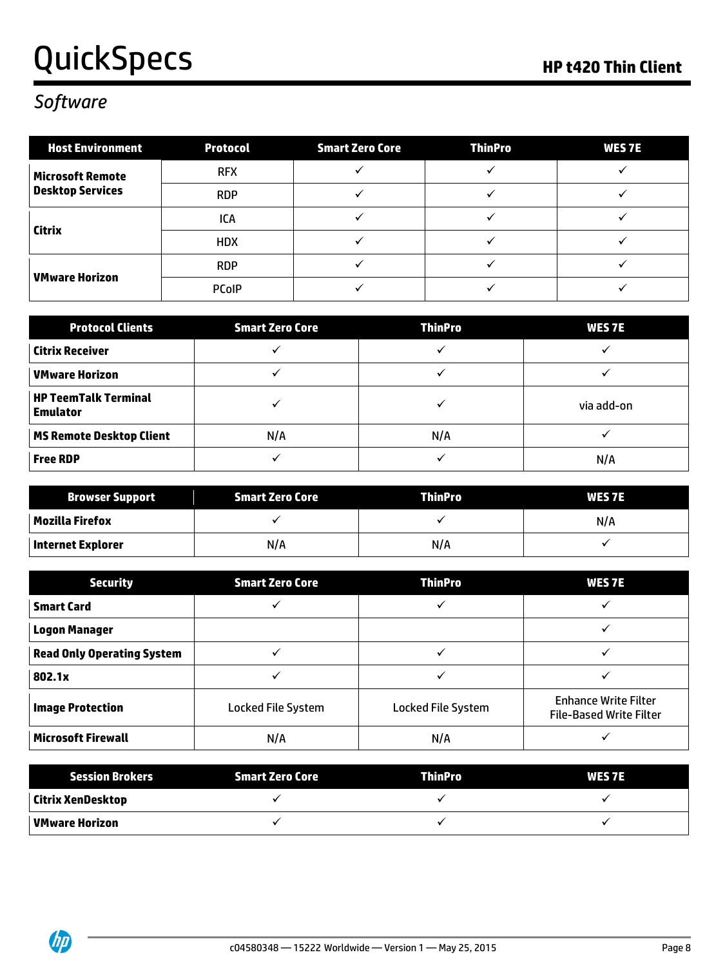## QuickSpecs **Mathematical Contract Contract Contract Contract Contract Contract Contract Contract Contract Contract Contract Contract Contract Contract Contract Contract Contract Contract Contract Contract Contract Contract**

## *Software*

| <b>Host Environment</b>                            | <b>Protocol</b> | <b>Smart Zero Core</b> | <b>ThinPro</b> | <b>WES7E</b> |
|----------------------------------------------------|-----------------|------------------------|----------------|--------------|
| <b>Microsoft Remote</b><br><b>Desktop Services</b> | <b>RFX</b>      |                        |                |              |
|                                                    | <b>RDP</b>      |                        |                |              |
| Citrix                                             | ICA             |                        |                |              |
|                                                    | <b>HDX</b>      |                        |                |              |
| <b>VMware Horizon</b>                              | <b>RDP</b>      |                        |                |              |
|                                                    | <b>PCoIP</b>    |                        |                |              |

| <b>Protocol Clients</b>                        | <b>Smart Zero Core</b> | <b>ThinPro</b> | <b>WES 7E</b> |
|------------------------------------------------|------------------------|----------------|---------------|
| <b>Citrix Receiver</b>                         |                        |                |               |
| <b>VMware Horizon</b>                          |                        |                |               |
| <b>HP TeemTalk Terminal</b><br><b>Emulator</b> |                        |                | via add-on    |
| <b>MS Remote Desktop Client</b>                | N/A                    | N/A            |               |
| <b>Free RDP</b>                                |                        |                | N/A           |

| <b>Browser Support</b>   | Smart Zero Core | <b>ThinPro</b> | <b>WES 7E</b> |
|--------------------------|-----------------|----------------|---------------|
| Mozilla Firefox          |                 |                | N/A           |
| <b>Internet Explorer</b> | N/A             | N/A            |               |

| <b>Security</b>                   | <b>Smart Zero Core</b>    | <b>ThinPro</b>     | <b>WES 7E</b>                                                 |
|-----------------------------------|---------------------------|--------------------|---------------------------------------------------------------|
| <b>Smart Card</b>                 |                           |                    |                                                               |
| <b>Logon Manager</b>              |                           |                    |                                                               |
| <b>Read Only Operating System</b> |                           |                    |                                                               |
| 802.1x                            |                           |                    |                                                               |
| <b>Image Protection</b>           | <b>Locked File System</b> | Locked File System | <b>Enhance Write Filter</b><br><b>File-Based Write Filter</b> |
| <b>Microsoft Firewall</b>         | N/A                       | N/A                |                                                               |

| <b>Session Brokers</b> | Smart Zero Core | <b>ThinPro</b> | <b>WES 7E</b> |
|------------------------|-----------------|----------------|---------------|
| Citrix XenDesktop      |                 |                |               |
| VMware Horizon         |                 |                |               |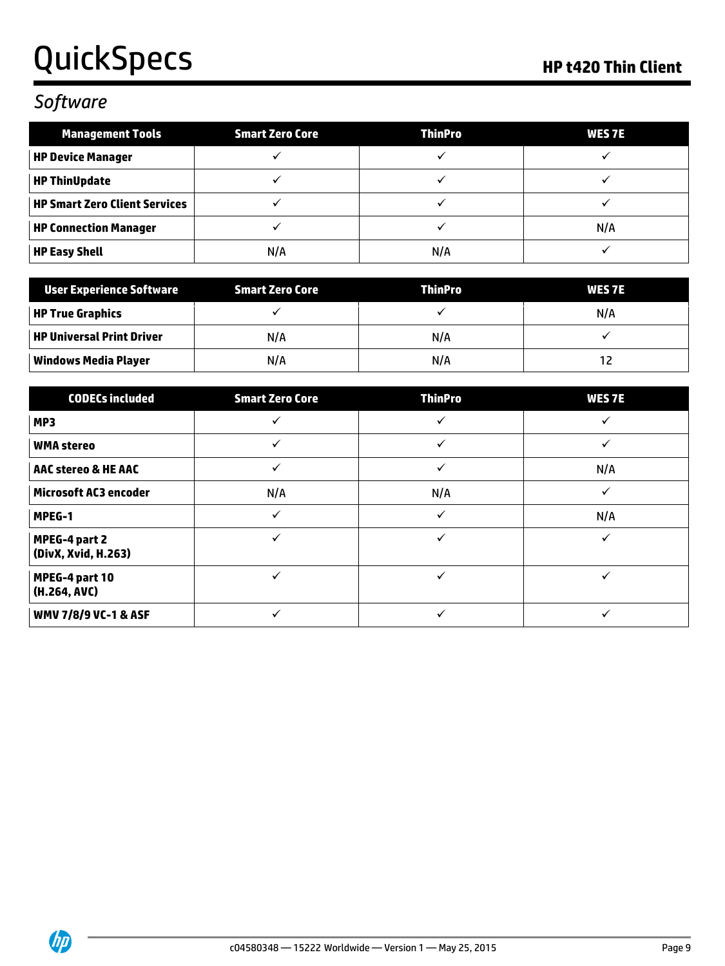## *Software*

| <b>Management Tools</b>              | <b>Smart Zero Core</b> | <b>ThinPro</b> | <b>WES 7E</b> |
|--------------------------------------|------------------------|----------------|---------------|
| <b>HP Device Manager</b>             |                        |                |               |
| <b>HP ThinUpdate</b>                 |                        |                |               |
| <b>HP Smart Zero Client Services</b> |                        |                |               |
| <b>HP Connection Manager</b>         |                        |                | N/A           |
| <b>HP Easy Shell</b>                 | N/A                    | N/A            |               |

| User Experience Software  | Smart Zero Core | <b>ThinPro</b> | <b>WES 7E</b> |
|---------------------------|-----------------|----------------|---------------|
| HP True Graphics          |                 |                | N/A           |
| HP Universal Print Driver | N/A             | N/A            |               |
| Windows Media Player      | N/A             | N/A            |               |

| <b>CODECs included</b>               | <b>Smart Zero Core</b> | <b>ThinPro</b> | <b>WES7E</b> |
|--------------------------------------|------------------------|----------------|--------------|
| MP3                                  |                        | ✓              |              |
| <b>WMA stereo</b>                    |                        | ✓              |              |
| <b>AAC stereo &amp; HE AAC</b>       |                        | ✓              | N/A          |
| <b>Microsoft AC3 encoder</b>         | N/A                    | N/A            |              |
| MPEG-1                               |                        | ✓              | N/A          |
| MPEG-4 part 2<br>(DivX, Xvid, H.263) |                        | $\checkmark$   |              |
| MPEG-4 part 10<br>(H.264, AVC)       |                        | ✓              |              |
| <b>WMV 7/8/9 VC-1 &amp; ASF</b>      |                        |                |              |

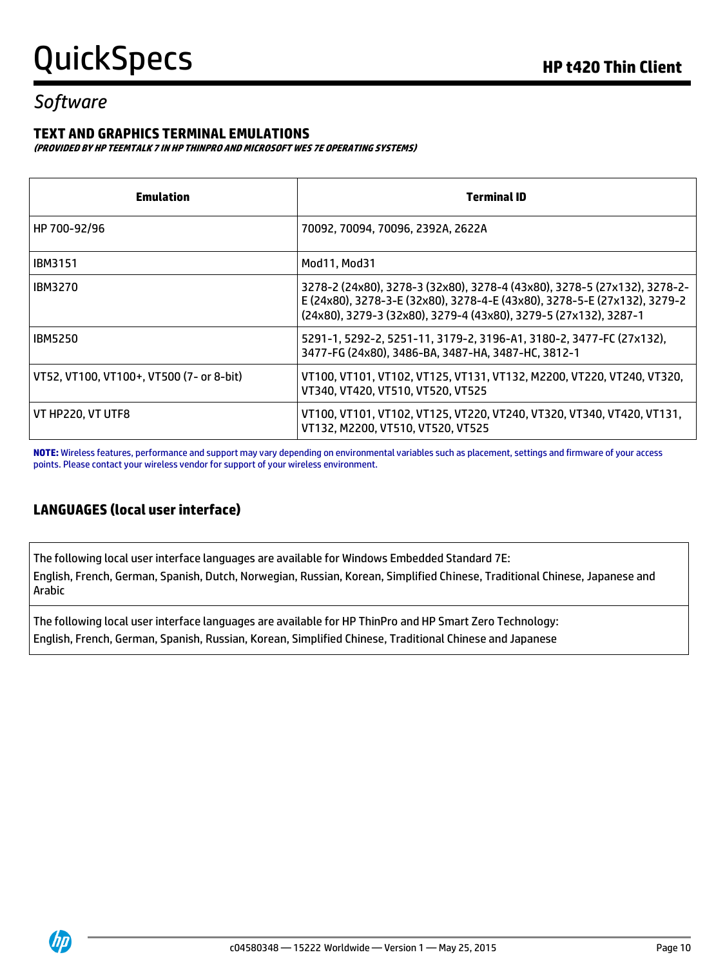## *Software*

### **TEXT AND GRAPHICS TERMINAL EMULATIONS**

**(PROVIDED BY HP TEEMTALK 7 IN HP THINPRO AND MICROSOFT WES 7E OPERATING SYSTEMS)**

| Emulation                                | <b>Terminal ID</b>                                                                                                                                                                                                       |
|------------------------------------------|--------------------------------------------------------------------------------------------------------------------------------------------------------------------------------------------------------------------------|
| HP 700-92/96                             | 70092, 70094, 70096, 2392A, 2622A                                                                                                                                                                                        |
| <b>IBM3151</b>                           | Mod11, Mod31                                                                                                                                                                                                             |
| <b>IBM3270</b>                           | 3278-2 (24x80), 3278-3 (32x80), 3278-4 (43x80), 3278-5 (27x132), 3278-2-<br>E (24x80), 3278-3-E (32x80), 3278-4-E (43x80), 3278-5-E (27x132), 3279-2<br>(24x80), 3279-3 (32x80), 3279-4 (43x80), 3279-5 (27x132), 3287-1 |
| <b>IBM5250</b>                           | 5291-1, 5292-2, 5251-11, 3179-2, 3196-A1, 3180-2, 3477-FC (27x132),<br>3477-FG (24x80), 3486-BA, 3487-HA, 3487-HC, 3812-1                                                                                                |
| VT52, VT100, VT100+, VT500 (7- or 8-bit) | VT100, VT101, VT102, VT125, VT131, VT132, M2200, VT220, VT240, VT320,<br>VT340, VT420, VT510, VT520, VT525                                                                                                               |
| VT HP220, VT UTF8                        | VT100, VT101, VT102, VT125, VT220, VT240, VT320, VT340, VT420, VT131,<br>VT132, M2200, VT510, VT520, VT525                                                                                                               |

**NOTE:** Wireless features, performance and support may vary depending on environmental variables such as placement, settings and firmware of your access points. Please contact your wireless vendor for support of your wireless environment.

## **LANGUAGES (local user interface)**

The following local user interface languages are available for Windows Embedded Standard 7E: English, French, German, Spanish, Dutch, Norwegian, Russian, Korean, Simplified Chinese, Traditional Chinese, Japanese and Arabic

The following local user interface languages are available for HP ThinPro and HP Smart Zero Technology: English, French, German, Spanish, Russian, Korean, Simplified Chinese, Traditional Chinese and Japanese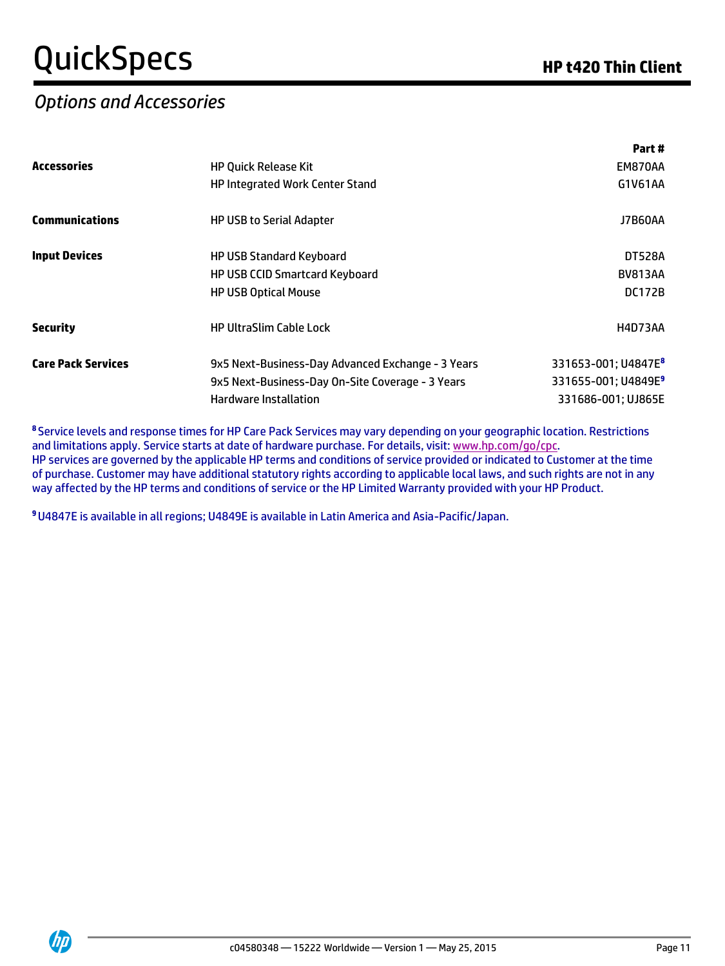## *Options and Accessories*

**Part #**

|                           |                                                                                                                                | Part #                                                                                   |  |
|---------------------------|--------------------------------------------------------------------------------------------------------------------------------|------------------------------------------------------------------------------------------|--|
| <b>Accessories</b>        | <b>HP Quick Release Kit</b>                                                                                                    | EM870AA                                                                                  |  |
|                           | <b>HP Integrated Work Center Stand</b>                                                                                         | G1V61AA                                                                                  |  |
| <b>Communications</b>     | <b>HP USB to Serial Adapter</b>                                                                                                | J7B60AA                                                                                  |  |
| <b>Input Devices</b>      | <b>HP USB Standard Keyboard</b>                                                                                                | <b>DT528A</b>                                                                            |  |
|                           | HP USB CCID Smartcard Keyboard                                                                                                 | <b>BV813AA</b>                                                                           |  |
|                           | <b>HP USB Optical Mouse</b>                                                                                                    | <b>DC172B</b>                                                                            |  |
| <b>Security</b>           | <b>HP UltraSlim Cable Lock</b>                                                                                                 | H4D73AA                                                                                  |  |
| <b>Care Pack Services</b> | 9x5 Next-Business-Day Advanced Exchange - 3 Years<br>9x5 Next-Business-Day On-Site Coverage - 3 Years<br>Hardware Installation | 331653-001; U4847E <sup>8</sup><br>331655-001; U4849E <sup>9</sup><br>331686-001; UJ865E |  |
|                           |                                                                                                                                |                                                                                          |  |

**<sup>8</sup>** Service levels and response times for HP Care Pack Services may vary depending on your geographic location. Restrictions and limitations apply. Service starts at date of hardware purchase. For details, visit: [www.hp.com/go/cpc.](http://www.hp.com/go/cpc) HP services are governed by the applicable HP terms and conditions of service provided or indicated to Customer at the time of purchase. Customer may have additional statutory rights according to applicable local laws, and such rights are not in any way affected by the HP terms and conditions of service or the HP Limited Warranty provided with your HP Product.

**9**U4847E is available in all regions; U4849E is available in Latin America and Asia-Pacific/Japan.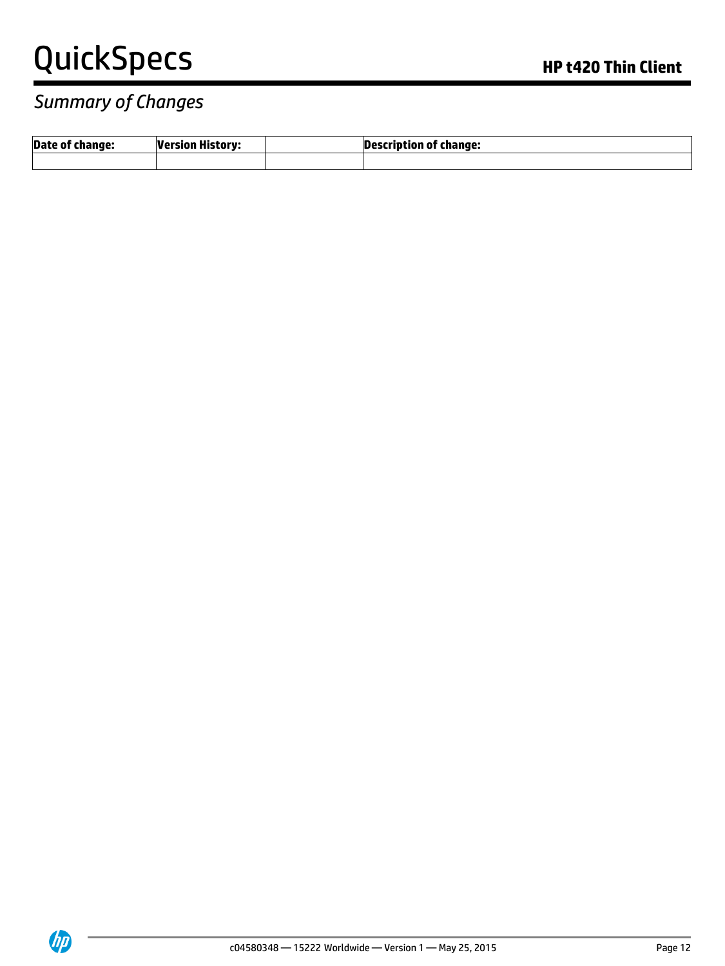## *Summary of Changes*

| <b>Date of change:</b> | <b>Version History:</b> | Description of change: |
|------------------------|-------------------------|------------------------|
|                        |                         |                        |